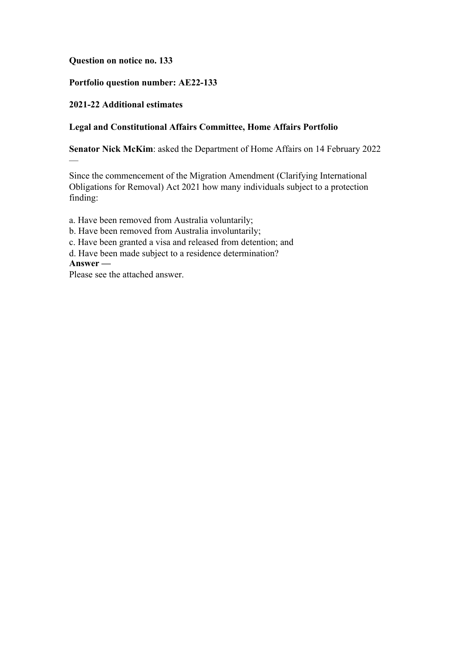## **Question on notice no. 133**

## **Portfolio question number: AE22-133**

## **2021-22 Additional estimates**

## **Legal and Constitutional Affairs Committee, Home Affairs Portfolio**

**Senator Nick McKim**: asked the Department of Home Affairs on 14 February 2022

Since the commencement of the Migration Amendment (Clarifying International Obligations for Removal) Act 2021 how many individuals subject to a protection finding:

a. Have been removed from Australia voluntarily;

- b. Have been removed from Australia involuntarily;
- c. Have been granted a visa and released from detention; and

d. Have been made subject to a residence determination?

**Answer —**

—

Please see the attached answer.